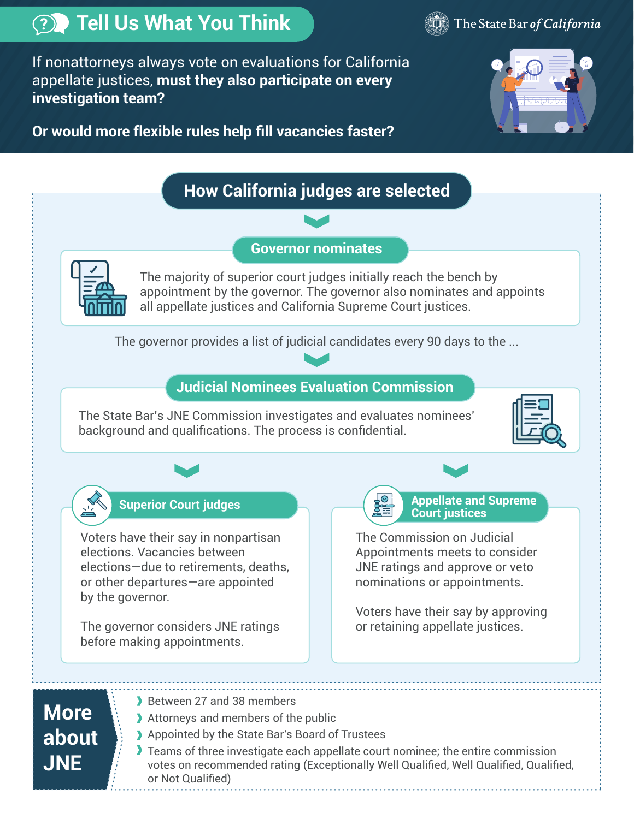

**JNE** 



If nonattorneys always vote on evaluations for California appellate justices, **must they also participate on every investigation team?** 

 **Or would more flexible rules help fill vacancies faster?**



## **How California judges are selected Governor nominates**  The majority of superior court judges initially reach the bench by appointment by the governor. The governor also nominates and appoints all appellate justices and California Supreme Court justices. The governor provides a list of judicial candidates every 90 days to the ... **Judicial Nominees Evaluation Commission Superior Court judges**  The State Bar's JNE Commission investigates and evaluates nominees' background and qualifications. The process is confidential. Voters have their say in nonpartisan elections. Vacancies between elections—due to retirements, deaths, or other departures—are appointed by the governor. The governor considers JNE ratings before making appointments. **Appellate and Supreme Court justices**  The Commission on Judicial Appointments meets to consider JNE ratings and approve or veto nominations or appointments. Voters have their say by approving or retaining appellate justices. Between 27 and 38 members Attorneys and members of the public Appointed by the State Bar's Board of Trustees **More about**

**Teams of three investigate each appellate court nominee; the entire commission** votes on recommended rating (Exceptionally Well Qualified, Well Qualified, Qualified, or Not Qualified)